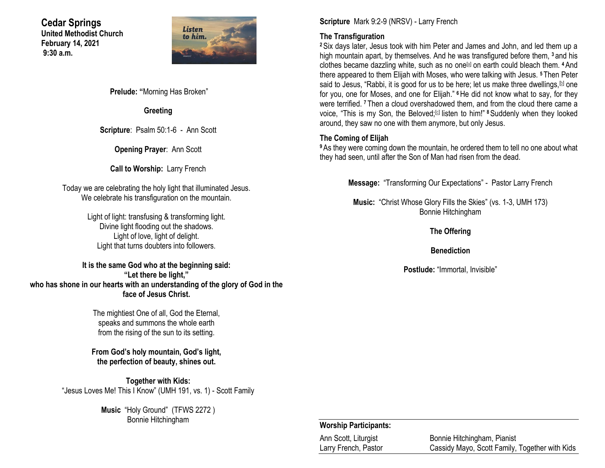**Cedar Springs United Methodist Church February 14, 2021 9:30 a.m.**



**Prelude: "**Morning Has Broken"

**Greeting**

**Scripture**: Psalm 50:1-6 - Ann Scott

**Opening Prayer**: Ann Scott

**Call to Worship:** Larry French

Today we are celebrating the holy light that illuminated Jesus. We celebrate his transfiguration on the mountain.

> Light of light: transfusing & transforming light. Divine light flooding out the shadows. Light of love, light of delight. Light that turns doubters into followers.

**It is the same God who at the beginning said: "Let there be light," who has shone in our hearts with an understanding of the glory of God in the face of Jesus Christ.**

> The mightiest One of all, God the Eternal, speaks and summons the whole earth from the rising of the sun to its setting.

**From God's holy mountain, God's light, the perfection of beauty, shines out.**

**Together with Kids:** "Jesus Loves Me! This I Know" (UMH 191, vs. 1) - Scott Family

> **Music** "Holy Ground" (TFWS 2272 ) Bonnie Hitchingham

**Scripture** Mark 9:2-9 (NRSV) - Larry French

### **The Transfiguration**

**<sup>2</sup>**Six days later, Jesus took with him Peter and James and John, and led them up a high mountain apart, by themselves. And he was transfigured before them, **<sup>3</sup>** and his clothes became dazzling white, such as no one[\[a\]](https://www.biblegateway.com/passage/?search=mark+9%3A2-9&version=NRSV#fen-NRSV-24538a) on earth could bleach them. **<sup>4</sup>**And there appeared to them Elijah with Moses, who were talking with Jesus. **<sup>5</sup>** Then Peter said to Jesus, "Rabbi, it is good for us to be here; let us make three dwellings, **b** one for you, one for Moses, and one for Elijah." **<sup>6</sup>**He did not know what to say, for they were terrified. **<sup>7</sup>** Then a cloud overshadowed them, and from the cloud there came a voice, "This is my Son, the Beloved;<sup>[\[c\]](https://www.biblegateway.com/passage/?search=mark+9%3A2-9&version=NRSV#fen-NRSV-24542c)</sup> listen to him!" <sup>8</sup> Suddenly when they looked around, they saw no one with them anymore, but only Jesus.

### **The Coming of Elijah**

**<sup>9</sup>**As they were coming down the mountain, he ordered them to tell no one about what they had seen, until after the Son of Man had risen from the dead.

**Message:** "Transforming Our Expectations" - Pastor Larry French

**Music:** "Christ Whose Glory Fills the Skies" (vs. 1-3, UMH 173) Bonnie Hitchingham

**The Offering**

**Benediction**

**Postlude:** "Immortal, Invisible"

#### **Worship Participants:**

| Ann Scott, Liturgist | Bonnie Hitchingham, Pianist                    |
|----------------------|------------------------------------------------|
| Larry French, Pastor | Cassidy Mayo, Scott Family, Together with Kids |